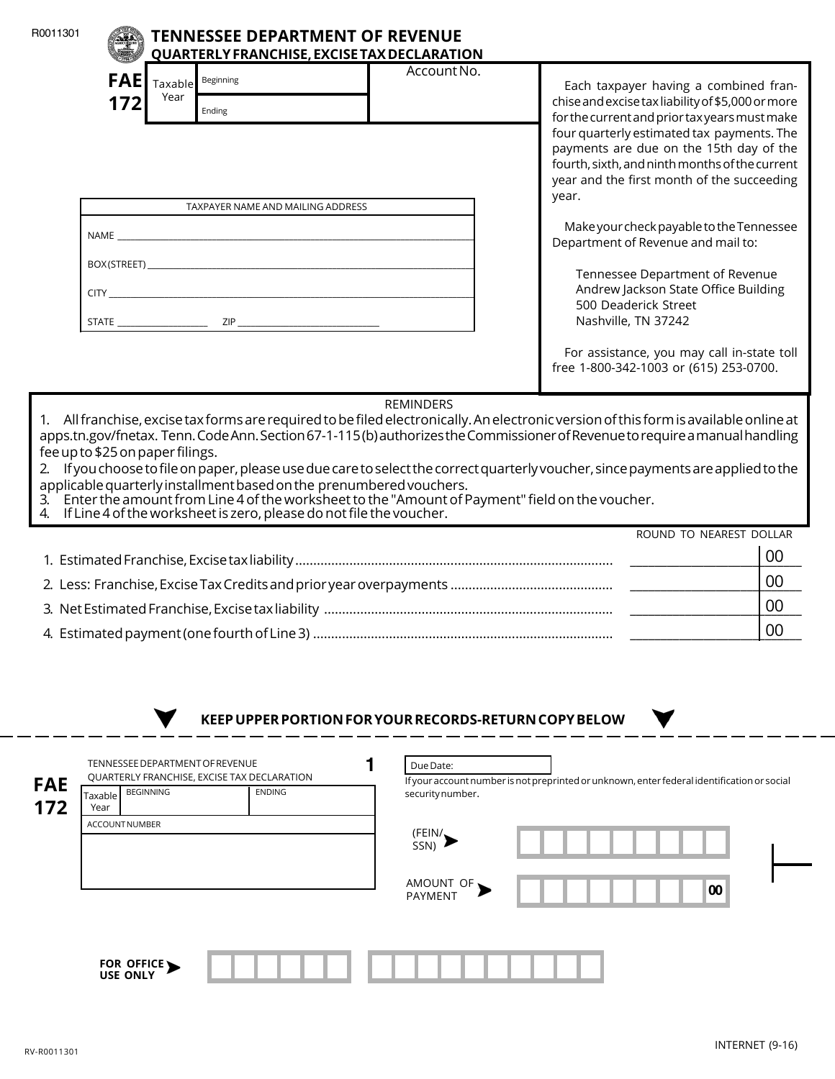| R0011301   |                                                                                                                                       |                 | <b>TENNESSEE DEPARTMENT OF REVENUE</b><br>QUARTERLY FRANCHISE, EXCISE TAX DECLARATION |                                                                                                                                               |                                                       |                                                                                                                                                                                                                                                                                                                                                                       |    |  |  |
|------------|---------------------------------------------------------------------------------------------------------------------------------------|-----------------|---------------------------------------------------------------------------------------|-----------------------------------------------------------------------------------------------------------------------------------------------|-------------------------------------------------------|-----------------------------------------------------------------------------------------------------------------------------------------------------------------------------------------------------------------------------------------------------------------------------------------------------------------------------------------------------------------------|----|--|--|
|            | <b>FAE</b><br>172                                                                                                                     | Taxable<br>Year | Beginning<br>Ending                                                                   |                                                                                                                                               | Account No.                                           | Each taxpayer having a combined fran-<br>chise and excise tax liability of \$5,000 or more                                                                                                                                                                                                                                                                            |    |  |  |
|            |                                                                                                                                       |                 |                                                                                       |                                                                                                                                               |                                                       | for the current and prior tax years must make<br>four quarterly estimated tax payments. The<br>payments are due on the 15th day of the<br>fourth, sixth, and ninth months of the current<br>year and the first month of the succeeding<br>year.                                                                                                                       |    |  |  |
|            | TAXPAYER NAME AND MAILING ADDRESS                                                                                                     |                 |                                                                                       |                                                                                                                                               |                                                       |                                                                                                                                                                                                                                                                                                                                                                       |    |  |  |
|            |                                                                                                                                       |                 |                                                                                       |                                                                                                                                               |                                                       | Make your check payable to the Tennessee<br>Department of Revenue and mail to:                                                                                                                                                                                                                                                                                        |    |  |  |
|            |                                                                                                                                       |                 |                                                                                       |                                                                                                                                               |                                                       | Tennessee Department of Revenue                                                                                                                                                                                                                                                                                                                                       |    |  |  |
|            |                                                                                                                                       |                 |                                                                                       |                                                                                                                                               |                                                       | Andrew Jackson State Office Building<br>500 Deaderick Street<br>Nashville, TN 37242                                                                                                                                                                                                                                                                                   |    |  |  |
|            |                                                                                                                                       |                 |                                                                                       |                                                                                                                                               |                                                       | For assistance, you may call in-state toll<br>free 1-800-342-1003 or (615) 253-0700.                                                                                                                                                                                                                                                                                  |    |  |  |
|            | fee up to \$25 on paper filings.                                                                                                      |                 |                                                                                       | applicable quarterly installment based on the prenumbered vouchers.<br>4. If Line 4 of the worksheet is zero, please do not file the voucher. |                                                       | apps.tn.gov/fnetax. Tenn. Code Ann. Section 67-1-115(b) authorizes the Commissioner of Revenue to require a manual handling<br>2. If you choose to file on paper, please use due care to select the correct quarterly voucher, since payments are applied to the<br>3. Enter the amount from Line 4 of the worksheet to the "Amount of Payment" field on the voucher. |    |  |  |
|            |                                                                                                                                       |                 |                                                                                       |                                                                                                                                               |                                                       | ROUND TO NEAREST DOLLAR                                                                                                                                                                                                                                                                                                                                               |    |  |  |
|            |                                                                                                                                       |                 |                                                                                       |                                                                                                                                               |                                                       |                                                                                                                                                                                                                                                                                                                                                                       | 00 |  |  |
|            |                                                                                                                                       |                 |                                                                                       |                                                                                                                                               |                                                       |                                                                                                                                                                                                                                                                                                                                                                       | 00 |  |  |
|            |                                                                                                                                       |                 |                                                                                       |                                                                                                                                               |                                                       |                                                                                                                                                                                                                                                                                                                                                                       | 00 |  |  |
|            |                                                                                                                                       |                 |                                                                                       | 4. Estimated payment (one fourth of Line 3)                                                                                                   |                                                       |                                                                                                                                                                                                                                                                                                                                                                       | 00 |  |  |
|            |                                                                                                                                       |                 |                                                                                       |                                                                                                                                               | KEEP UPPER PORTION FOR YOUR RECORDS-RETURN COPY BELOW |                                                                                                                                                                                                                                                                                                                                                                       |    |  |  |
|            |                                                                                                                                       |                 |                                                                                       |                                                                                                                                               |                                                       |                                                                                                                                                                                                                                                                                                                                                                       |    |  |  |
| <b>FAE</b> | TENNESSEE DEPARTMENT OF REVENUE<br><b>QUARTERLY FRANCHISE, EXCISE TAX DECLARATION</b><br><b>BEGINNING</b><br><b>ENDING</b><br>Taxable |                 |                                                                                       |                                                                                                                                               | Due Date:<br>security number.                         | If your account number is not preprinted or unknown, enter federal identification or social                                                                                                                                                                                                                                                                           |    |  |  |
| 172        | Year<br><b>ACCOUNTNUMBER</b>                                                                                                          |                 |                                                                                       |                                                                                                                                               |                                                       |                                                                                                                                                                                                                                                                                                                                                                       |    |  |  |
|            |                                                                                                                                       |                 |                                                                                       |                                                                                                                                               | (FEIN/)                                               |                                                                                                                                                                                                                                                                                                                                                                       |    |  |  |

| FOR OFFICE |  |
|------------|--|

AMOUNT OF **>** | | | | | | | | | | | | 00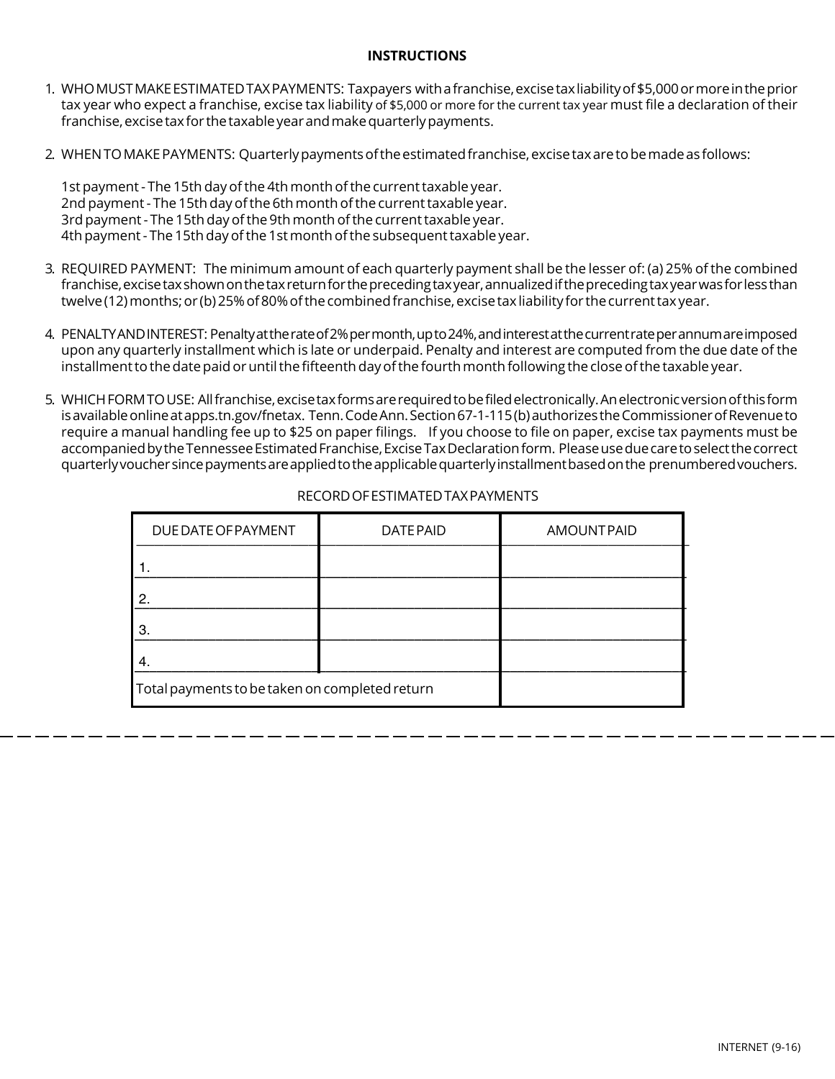## **INSTRUCTIONS**

- 1. WHO MUST MAKE ESTIMATED TAX PAYMENTS: Taxpayers with a franchise, excise tax liability of \$5,000 or more in the prior tax year who expect a franchise, excise tax liability of \$5,000 or more for the current tax year must file a declaration of their franchise, excise tax for the taxable year and make quarterly payments.
- 2. WHEN TO MAKE PAYMENTS: Quarterly payments of the estimated franchise, excise tax are to be made as follows:

1st payment - The 15th day of the 4th month of the current taxable year. 2nd payment - The 15th day of the 6th month of the current taxable year. 3rd payment - The 15th day of the 9th month of the current taxable year. 4th payment - The 15th day of the 1st month of the subsequent taxable year.

- 3. REQUIRED PAYMENT: The minimum amount of each quarterly payment shall be the lesser of: (a) 25% of the combined franchise, excise tax shown on the tax return for the preceding tax year, annualized if the preceding tax year was for less than twelve (12) months; or (b) 25% of 80%of the combined franchise, excise tax liability for the current tax year.
- 4. PENALTY AND INTEREST: Penalty at the rate of 2% per month, up to 24%, and interest at the current rate per annum are imposed upon any quarterly installment which is late or underpaid. Penalty and interest are computed from the due date of the installment to the date paid or until the fifteenth day of the fourth month following the close of the taxable year.
- 5. WHICH FORM TO USE: All franchise, excise tax forms are required to be filed electronically. An electronic version of this form is available online at apps.tn.gov/fnetax. Tenn. Code Ann. Section 67-1-115 (b) authorizes the Commissioner of Revenue to require a manual handling fee up to \$25 on paper filings. If you choose to file on paper, excise tax payments must be accompanied by the Tennessee Estimated Franchise, Excise Tax Declaration form. Please use due care to select the correct quarterly voucher since payments are applied to the applicable quarterly installment based on the prenumbered vouchers.

| DUE DATE OF PAYMENT                            | <b>DATEPAID</b> | <b>AMOUNTPAID</b> |  |  |  |
|------------------------------------------------|-----------------|-------------------|--|--|--|
|                                                |                 |                   |  |  |  |
| 2                                              |                 |                   |  |  |  |
| 3                                              |                 |                   |  |  |  |
| 4                                              |                 |                   |  |  |  |
| Total payments to be taken on completed return |                 |                   |  |  |  |

## RECORD OF ESTIMATED TAX PAYMENTS